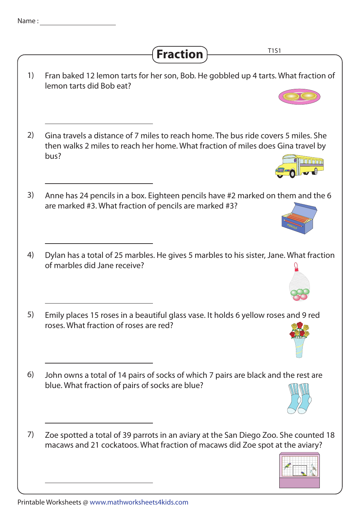| Name: |                                                                                                                                                                                |
|-------|--------------------------------------------------------------------------------------------------------------------------------------------------------------------------------|
|       | T1S1<br><b>Fraction</b>                                                                                                                                                        |
| 1)    | Fran baked 12 lemon tarts for her son, Bob. He gobbled up 4 tarts. What fraction of<br>lemon tarts did Bob eat?                                                                |
| 2)    | Gina travels a distance of 7 miles to reach home. The bus ride covers 5 miles. She<br>then walks 2 miles to reach her home. What fraction of miles does Gina travel by<br>bus? |
| 3)    | Anne has 24 pencils in a box. Eighteen pencils have #2 marked on them and the 6<br>are marked #3. What fraction of pencils are marked #3?                                      |
| 4)    | Dylan has a total of 25 marbles. He gives 5 marbles to his sister, Jane. What fraction<br>of marbles did Jane receive?                                                         |
| 5)    | Emily places 15 roses in a beautiful glass vase. It holds 6 yellow roses and 9 red<br>roses. What fraction of roses are red?                                                   |
| 6)    | John owns a total of 14 pairs of socks of which 7 pairs are black and the rest are<br>blue. What fraction of pairs of socks are blue?                                          |
| 7)    | Zoe spotted a total of 39 parrots in an aviary at the San Diego Zoo. She counted 18<br>macaws and 21 cockatoos. What fraction of macaws did Zoe spot at the aviary?            |